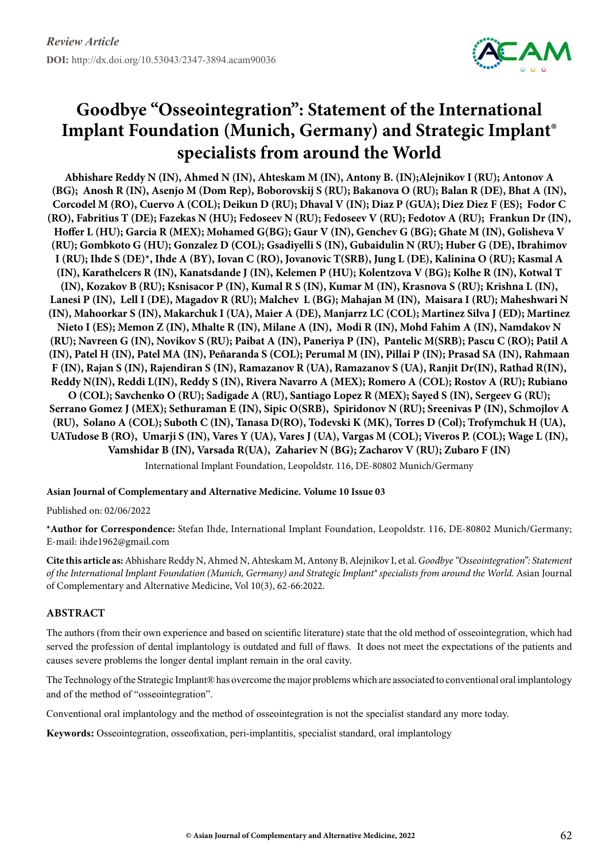

## **Goodbye "Osseointegration": Statement of the International Implant Foundation (Munich, Germany) and Strategic Implant® specialists from around the World**

**Abhishare Reddy N (IN), Ahmed N (IN), Ahteskam M (IN), Antony B. (IN);Alejnikov I (RU); Antonov A (BG); Anosh R (IN), Asenjo M (Dom Rep), Boborovskij S (RU); Bakanova O (RU); Balan R (DE), Bhat A (IN), Corcodel M (RO), Cuervo A (COL); Deikun D (RU); Dhaval V (IN); Diaz P (GUA); Diez Diez F (ES); Fodor C (RO), Fabritius T (DE); Fazekas N (HU); Fedoseev N (RU); Fedoseev V (RU); Fedotov A (RU); Frankun Dr (IN), Hoffer L (HU); Garcia R (MEX); Mohamed G(BG); Gaur V (IN), Genchev G (BG); Ghate M (IN), Golisheva V (RU); Gombkoto G (HU); Gonzalez D (COL); Gsadiyelli S (IN), Gubaidulin N (RU); Huber G (DE), Ibrahimov I (RU); Ihde S (DE)\*, Ihde A (BY), Iovan C (RO), Jovanovic T(SRB), Jung L (DE), Kalinina O (RU); Kasmal A (IN), Karathelcers R (IN), Kanatsdande J (IN), Kelemen P (HU); Kolentzova V (BG); Kolhe R (IN), Kotwal T (IN), Kozakov B (RU); Ksnisacor P (IN), Kumal R S (IN), Kumar M (IN), Krasnova S (RU); Krishna L (IN), Lanesi P (IN), Lell I (DE), Magadov R (RU); Malchev L (BG); Mahajan M (IN), Maisara I (RU); Maheshwari N (IN), Mahoorkar S (IN), Makarchuk I (UA), Maier A (DE), Manjarrz LC (COL); Martinez Silva J (ED); Martinez Nieto I (ES); Memon Z (IN), Mhalte R (IN), Milane A (IN), Modi R (IN), Mohd Fahim A (IN), Namdakov N (RU); Navreen G (IN), Novikov S (RU); Paibat A (IN), Paneriya P (IN), Pantelic M(SRB); Pascu C (RO); Patil A (IN), Patel H (IN), Patel MA (IN), Peñaranda S (COL); Perumal M (IN), Pillai P (IN); Prasad SA (IN), Rahmaan F (IN), Rajan S (IN), Rajendiran S (IN), Ramazanov R (UA), Ramazanov S (UA), Ranjit Dr(IN), Rathad R(IN), Reddy N(IN), Reddi L(IN), Reddy S (IN), Rivera Navarro A (MEX); Romero A (COL); Rostov A (RU); Rubiano O (COL); Savchenko O (RU); Sadigade A (RU), Santiago Lopez R (MEX); Sayed S (IN), Sergeev G (RU); Serrano Gomez J (MEX); Sethuraman E (IN), Sipic O(SRB), Spiridonov N (RU); Sreenivas P (IN), Schmojlov A (RU), Solano A (COL); Suboth C (IN), Tanasa D(RO), Todevski K (MK), Torres D (Col); Trofymchuk H (UA), UATudose B (RO), Umarji S (IN), Vares Y (UA), Vares J (UA), Vargas M (COL); Viveros P. (COL); Wage L (IN), Vamshidar B (IN), Varsada R(UA), Zahariev N (BG); Zacharov V (RU); Zubaro F (IN)**

International Implant Foundation, Leopoldstr. 116, DE-80802 Munich/Germany

## **Asian Journal of Complementary and Alternative Medicine. Volume 10 Issue 03**

Published on: 02/06/2022

**\*Author for Correspondence:** Stefan Ihde, International Implant Foundation, Leopoldstr. 116, DE-80802 Munich/Germany; E-mail: [ihde1962@gmail.com](mailto:ihde1962@gmail.com)

**Cite this article as:** Abhishare Reddy N, Ahmed N, Ahteskam M, Antony B, Alejnikov I, et al. *Goodbye "Osseointegration": Statement of the International Implant Foundation (Munich, Germany) and Strategic Implant® specialists from around the World.* Asian Journal of Complementary and Alternative Medicine, Vol 10(3), 62-66:2022.

## **Abstract**

The authors (from their own experience and based on scientific literature) state that the old method of osseointegration, which had served the profession of dental implantology is outdated and full of flaws. It does not meet the expectations of the patients and causes severe problems the longer dental implant remain in the oral cavity.

The Technology of the Strategic Implant® has overcome the major problems which are associated to conventional oral implantology and of the method of "osseointegration".

Conventional oral implantology and the method of osseointegration is not the specialist standard any more today.

**Keywords:** Osseointegration, osseofixation, peri-implantitis, specialist standard, oral implantology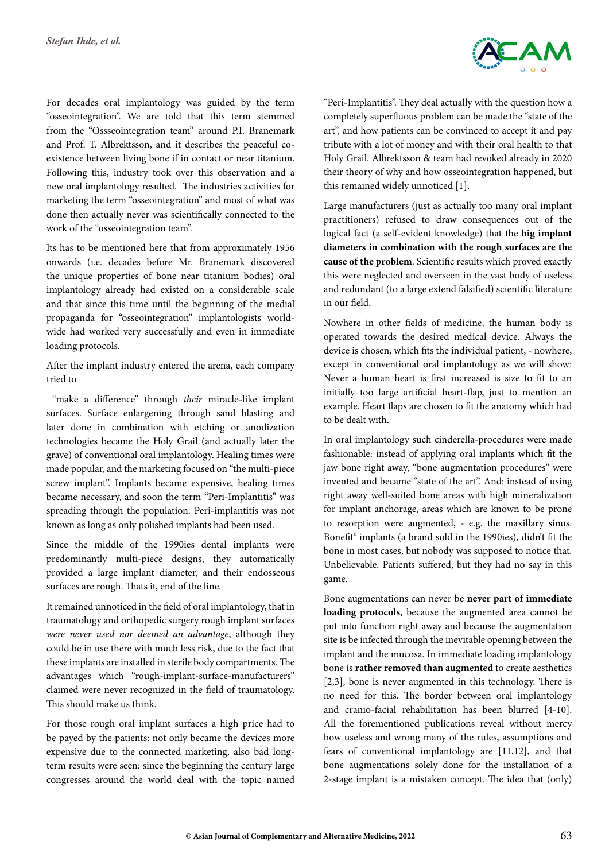For decades oral implantology was guided by the term "osseointegration". We are told that this term stemmed from the "Ossseointegration team" around P.I. Branemark and Prof. T. Albrektsson, and it describes the peaceful coexistence between living bone if in contact or near titanium. Following this, industry took over this observation and a new oral implantology resulted. The industries activities for marketing the term "osseointegration" and most of what was done then actually never was scientifically connected to the work of the "osseointegration team".

Its has to be mentioned here that from approximately 1956 onwards (i.e. decades before Mr. Branemark discovered the unique properties of bone near titanium bodies) oral implantology already had existed on a considerable scale and that since this time until the beginning of the medial propaganda for "osseointegration" implantologists worldwide had worked very successfully and even in immediate loading protocols.

After the implant industry entered the arena, each company tried to

 "make a difference" through *their* miracle-like implant surfaces. Surface enlargening through sand blasting and later done in combination with etching or anodization technologies became the Holy Grail (and actually later the grave) of conventional oral implantology. Healing times were made popular, and the marketing focused on "the multi-piece screw implant". Implants became expensive, healing times became necessary, and soon the term "Peri-Implantitis" was spreading through the population. Peri-implantitis was not known as long as only polished implants had been used.

Since the middle of the 1990ies dental implants were predominantly multi-piece designs, they automatically provided a large implant diameter, and their endosseous surfaces are rough. Thats it, end of the line.

It remained unnoticed in the field of oral implantology, that in traumatology and orthopedic surgery rough implant surfaces *were never used nor deemed an advantage*, although they could be in use there with much less risk, due to the fact that these implants are installed in sterile body compartments. The advantages which "rough-implant-surface-manufacturers" claimed were never recognized in the field of traumatology. This should make us think.

For those rough oral implant surfaces a high price had to be payed by the patients: not only became the devices more expensive due to the connected marketing, also bad longterm results were seen: since the beginning the century large congresses around the world deal with the topic named



"Peri-Implantitis". They deal actually with the question how a completely superfluous problem can be made the "state of the art", and how patients can be convinced to accept it and pay tribute with a lot of money and with their oral health to that Holy Grail. Albrektsson & team had revoked already in 2020 their theory of why and how osseointegration happened, but this remained widely unnoticed [1].

Large manufacturers (just as actually too many oral implant practitioners) refused to draw consequences out of the logical fact (a self-evident knowledge) that the **big implant diameters in combination with the rough surfaces are the cause of the problem**. Scientific results which proved exactly this were neglected and overseen in the vast body of useless and redundant (to a large extend falsified) scientific literature in our field.

Nowhere in other fields of medicine, the human body is operated towards the desired medical device. Always the device is chosen, which fits the individual patient, - nowhere, except in conventional oral implantology as we will show: Never a human heart is first increased is size to fit to an initially too large artificial heart-flap, just to mention an example. Heart flaps are chosen to fit the anatomy which had to be dealt with.

In oral implantology such cinderella-procedures were made fashionable: instead of applying oral implants which fit the jaw bone right away, "bone augmentation procedures" were invented and became "state of the art". And: instead of using right away well-suited bone areas with high mineralization for implant anchorage, areas which are known to be prone to resorption were augmented, - e.g. the maxillary sinus. Bonefit® implants (a brand sold in the 1990ies), didn't fit the bone in most cases, but nobody was supposed to notice that. Unbelievable. Patients suffered, but they had no say in this game.

Bone augmentations can never be **never part of immediate loading protocols**, because the augmented area cannot be put into function right away and because the augmentation site is be infected through the inevitable opening between the implant and the mucosa. In immediate loading implantology bone is **rather removed than augmented** to create aesthetics [2,3], bone is never augmented in this technology. There is no need for this. The border between oral implantology and cranio-facial rehabilitation has been blurred [4-10]. All the forementioned publications reveal without mercy how useless and wrong many of the rules, assumptions and fears of conventional implantology are [11,12], and that bone augmentations solely done for the installation of a 2-stage implant is a mistaken concept. The idea that (only)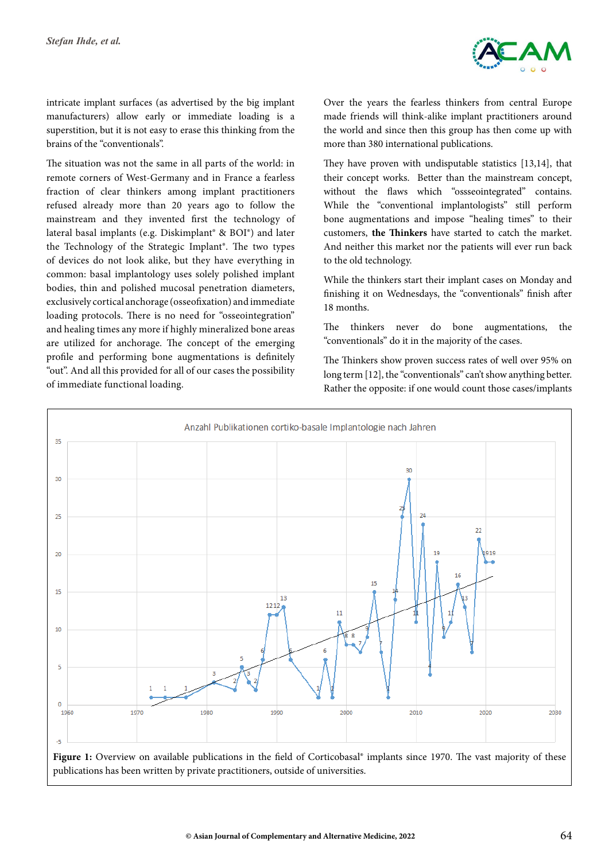

intricate implant surfaces (as advertised by the big implant manufacturers) allow early or immediate loading is a superstition, but it is not easy to erase this thinking from the brains of the "conventionals".

The situation was not the same in all parts of the world: in remote corners of West-Germany and in France a fearless fraction of clear thinkers among implant practitioners refused already more than 20 years ago to follow the mainstream and they invented first the technology of lateral basal implants (e.g. Diskimplant® & BOI®) and later the Technology of the Strategic Implant®. The two types of devices do not look alike, but they have everything in common: basal implantology uses solely polished implant bodies, thin and polished mucosal penetration diameters, exclusively cortical anchorage (osseofixation) and immediate loading protocols. There is no need for "osseointegration" and healing times any more if highly mineralized bone areas are utilized for anchorage. The concept of the emerging profile and performing bone augmentations is definitely "out". And all this provided for all of our cases the possibility of immediate functional loading.

Over the years the fearless thinkers from central Europe made friends will think-alike implant practitioners around the world and since then this group has then come up with more than 380 international publications.

They have proven with undisputable statistics [13,14], that their concept works. Better than the mainstream concept, without the flaws which "ossseointegrated" contains. While the "conventional implantologists" still perform bone augmentations and impose "healing times" to their customers, **the Thinkers** have started to catch the market. And neither this market nor the patients will ever run back to the old technology.

While the thinkers start their implant cases on Monday and finishing it on Wednesdays, the "conventionals" finish after 18 months.

The thinkers never do bone augmentations, the "conventionals" do it in the majority of the cases.

The Thinkers show proven success rates of well over 95% on long term [12], the "conventionals" can't show anything better. Rather the opposite: if one would count those cases/implants



Figure 1: Overview on available publications in the field of Corticobasal<sup>®</sup> implants since 1970. The vast majority of these publications has been written by private practitioners, outside of universities.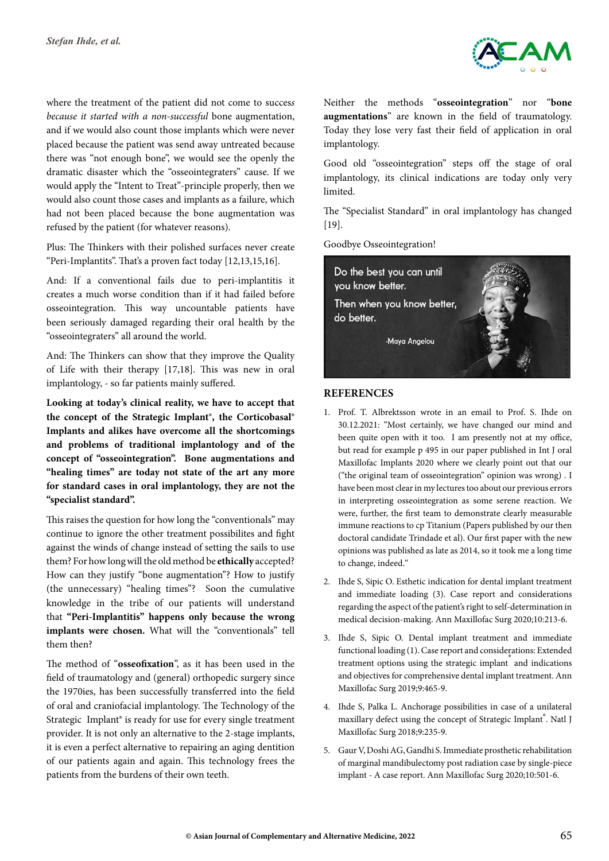

where the treatment of the patient did not come to succes*s because it started with a non-successful* bone augmentation, and if we would also count those implants which were never placed because the patient was send away untreated because there was "not enough bone", we would see the openly the dramatic disaster which the "osseointegraters" cause. If we would apply the "Intent to Treat"-principle properly, then we would also count those cases and implants as a failure, which had not been placed because the bone augmentation was refused by the patient (for whatever reasons).

Plus: The Thinkers with their polished surfaces never create "Peri-Implantits". That's a proven fact today [12,13,15,16].

And: If a conventional fails due to peri-implantitis it creates a much worse condition than if it had failed before osseointegration. This way uncountable patients have been seriously damaged regarding their oral health by the "osseointegraters" all around the world.

And: The Thinkers can show that they improve the Quality of Life with their therapy [17,18]. This was new in oral implantology, - so far patients mainly suffered.

**Looking at today's clinical reality, we have to accept that the concept of the Strategic Implant®, the Corticobasal® Implants and alikes have overcome all the shortcomings and problems of traditional implantology and of the concept of "osseointegration". Bone augmentations and "healing times" are today not state of the art any more for standard cases in oral implantology, they are not the "specialist standard".**

This raises the question for how long the "conventionals" may continue to ignore the other treatment possibilites and fight against the winds of change instead of setting the sails to use them? For how long will the old method be **ethically** accepted? How can they justify "bone augmentation"? How to justify (the unnecessary) "healing times"? Soon the cumulative knowledge in the tribe of our patients will understand that **"Peri-Implantitis" happens only because the wrong implants were chosen.** What will the "conventionals" tell them then?

The method of "**osseofixation**", as it has been used in the field of traumatology and (general) orthopedic surgery since the 1970ies, has been successfully transferred into the field of oral and craniofacial implantology. The Technology of the Strategic Implant® is ready for use for every single treatment provider. It is not only an alternative to the 2-stage implants, it is even a perfect alternative to repairing an aging dentition of our patients again and again. This technology frees the patients from the burdens of their own teeth.

Neither the methods "**osseointegration**" nor "**bone augmentations**" are known in the field of traumatology. Today they lose very fast their field of application in oral implantology.

Good old "osseointegration" steps off the stage of oral implantology, its clinical indications are today only very limited.

The "Specialist Standard" in oral implantology has changed [19].

Goodbye Osseointegration!



## **References**

- 1. Prof. T. Albrektsson wrote in an email to Prof. S. Ihde on 30.12.2021: "Most certainly, we have changed our mind and been quite open with it too. I am presently not at my office, but read for example p 495 in our paper published in Int J oral Maxillofac Implants 2020 where we clearly point out that our ("the original team of osseointegration" opinion was wrong) . I have been most clear in my lectures too about our previous errors in interpreting osseointegration as some serene reaction. We were, further, the first team to demonstrate clearly measurable immune reactions to cp Titanium (Papers published by our then doctoral candidate Trindade et al). Our first paper with the new opinions was published as late as 2014, so it took me a long time to change, indeed."
- 2. Ihde S, Sipic O. Esthetic indication for dental implant treatment and immediate loading (3). Case report and considerations regarding the aspect of the patient's right to self‐determination in medical decision‐making. Ann Maxillofac Surg 2020;10:213‐6.
- 3. Ihde S, Sipic O. Dental implant treatment and immediate functional loading (1). Case report and considerations: Extended treatment options using the strategic implant and indications and objectives for comprehensive dental implant treatment. Ann Maxillofac Surg 2019;9:465-9.
- 4. Ihde S, Palka L. Anchorage possibilities in case of a unilateral maxillary defect using the concept of Strategic Implant®. Natl J Maxillofac Surg 2018;9:235-9.
- 5. Gaur V, Doshi AG, Gandhi S. Immediate prosthetic rehabilitation of marginal mandibulectomy post radiation case by single-piece implant - A case report. Ann Maxillofac Surg 2020;10:501-6.